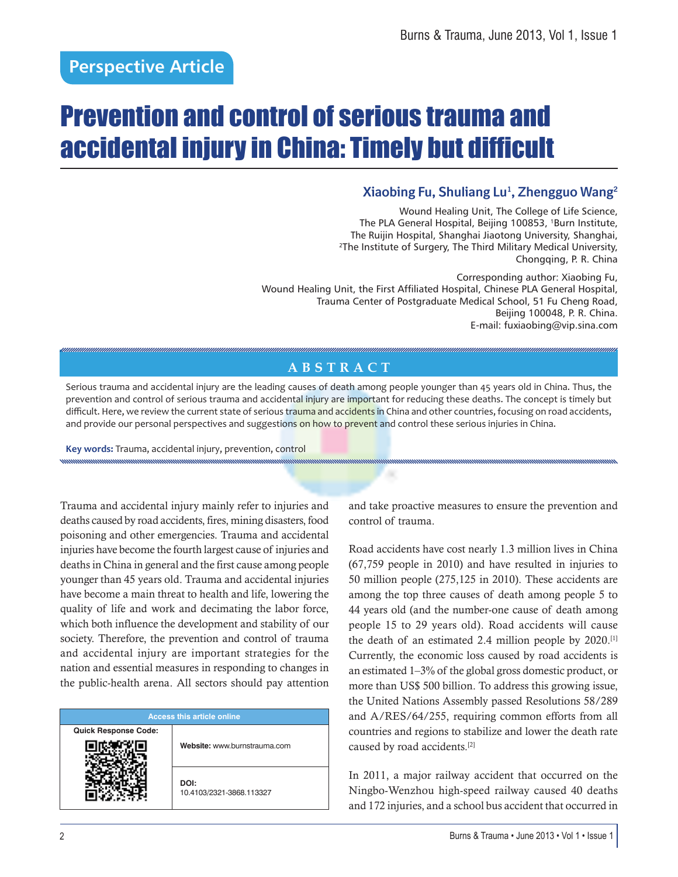## Prevention and control of serious trauma and accidental injury in China: Timely but difficult

## **Xiaobing Fu, Shuliang Lu1 , Zhengguo Wang2**

Wound Healing Unit, The College of Life Science, The PLA General Hospital, Beijing 100853, 1Burn Institute, The Ruijin Hospital, Shanghai Jiaotong University, Shanghai, 2The Institute of Surgery, The Third Military Medical University, Chongqing, P. R. China

Corresponding author: Xiaobing Fu, Wound Healing Unit, the First Affiliated Hospital, Chinese PLA General Hospital, Trauma Center of Postgraduate Medical School, 51 Fu Cheng Road, Beijing 100048, P. R. China. E-mail: fuxiaobing@vip.sina.com

## **ABSTRACT**

Serious trauma and accidental injury are the leading causes of death among people younger than 45 years old in China. Thus, the prevention and control of serious trauma and accidental injury are important for reducing these deaths. The concept is timely but difficult. Here, we review the current state of serious trauma and accidents in China and other countries, focusing on road accidents, and provide our personal perspectives and suggestions on how to prevent and control these serious injuries in China.

**Key words:** Trauma, accidental injury, prevention, control

Trauma and accidental injury mainly refer to injuries and deaths caused by road accidents, fires, mining disasters, food poisoning and other emergencies. Trauma and accidental injuries have become the fourth largest cause of injuries and deaths in China in general and the first cause among people younger than 45 years old. Trauma and accidental injuries have become a main threat to health and life, lowering the quality of life and work and decimating the labor force, which both influence the development and stability of our society. Therefore, the prevention and control of trauma and accidental injury are important strategies for the nation and essential measures in responding to changes in the public-health arena. All sectors should pay attention

| <b>Access this article online</b> |                                  |
|-----------------------------------|----------------------------------|
| <b>Quick Response Code:</b>       |                                  |
|                                   | Website: www.burnstrauma.com     |
|                                   | DOI:<br>10.4103/2321-3868.113327 |

and take proactive measures to ensure the prevention and control of trauma.

Road accidents have cost nearly 1.3 million lives in China (67,759 people in 2010) and have resulted in injuries to 50 million people (275,125 in 2010). These accidents are among the top three causes of death among people 5 to 44 years old (and the number-one cause of death among people 15 to 29 years old). Road accidents will cause the death of an estimated 2.4 million people by 2020.[1] Currently, the economic loss caused by road accidents is an estimated 1–3% of the global gross domestic product, or more than US\$ 500 billion. To address this growing issue, the United Nations Assembly passed Resolutions 58/289 and A/RES/64/255, requiring common efforts from all countries and regions to stabilize and lower the death rate caused by road accidents.[2]

In 2011, a major railway accident that occurred on the Ningbo-Wenzhou high-speed railway caused 40 deaths and 172 injuries, and a school bus accident that occurred in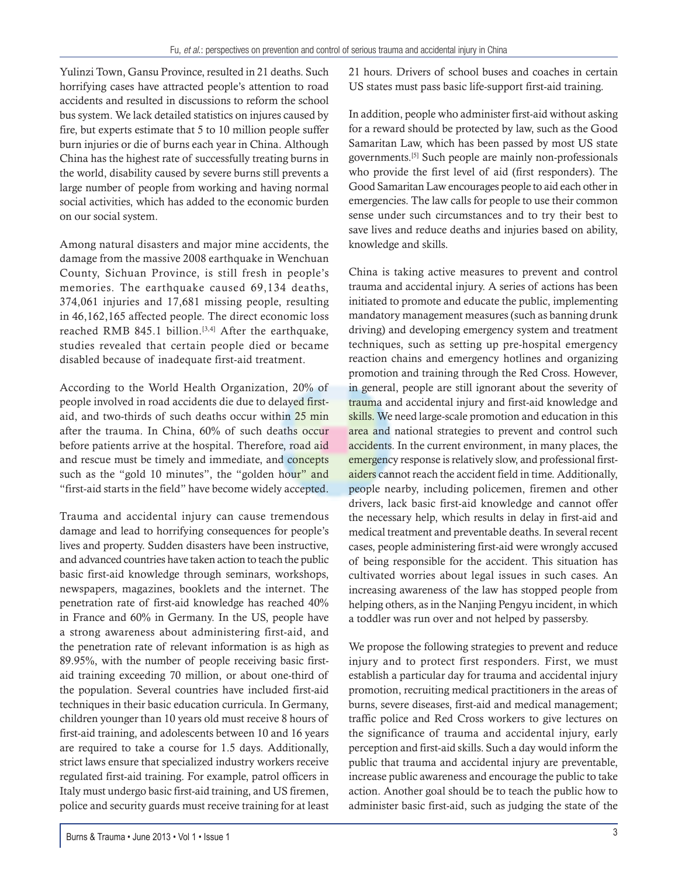Yulinzi Town, Gansu Province, resulted in 21 deaths. Such horrifying cases have attracted people's attention to road accidents and resulted in discussions to reform the school bus system. We lack detailed statistics on injures caused by fire, but experts estimate that 5 to 10 million people suffer burn injuries or die of burns each year in China. Although China has the highest rate of successfully treating burns in the world, disability caused by severe burns still prevents a large number of people from working and having normal social activities, which has added to the economic burden on our social system.

Among natural disasters and major mine accidents, the damage from the massive 2008 earthquake in Wenchuan County, Sichuan Province, is still fresh in people's memories. The earthquake caused 69,134 deaths, 374,061 injuries and 17,681 missing people, resulting in 46,162,165 affected people. The direct economic loss reached RMB 845.1 billion.<sup>[3,4]</sup> After the earthquake, studies revealed that certain people died or became disabled because of inadequate first-aid treatment.

According to the World Health Organization, 20% of people involved in road accidents die due to delayed firstaid, and two-thirds of such deaths occur within 25 min after the trauma. In China, 60% of such deaths occur before patients arrive at the hospital. Therefore, road aid and rescue must be timely and immediate, and concepts such as the "gold 10 minutes", the "golden hour" and "first-aid starts in the field" have become widely accepted.

Trauma and accidental injury can cause tremendous damage and lead to horrifying consequences for people's lives and property. Sudden disasters have been instructive, and advanced countries have taken action to teach the public basic first-aid knowledge through seminars, workshops, newspapers, magazines, booklets and the internet. The penetration rate of first-aid knowledge has reached 40% in France and 60% in Germany. In the US, people have a strong awareness about administering first-aid, and the penetration rate of relevant information is as high as 89.95%, with the number of people receiving basic firstaid training exceeding 70 million, or about one-third of the population. Several countries have included first-aid techniques in their basic education curricula. In Germany, children younger than 10 years old must receive 8 hours of first-aid training, and adolescents between 10 and 16 years are required to take a course for 1.5 days. Additionally, strict laws ensure that specialized industry workers receive regulated first-aid training. For example, patrol officers in Italy must undergo basic first-aid training, and US firemen, police and security guards must receive training for at least 21 hours. Drivers of school buses and coaches in certain US states must pass basic life-support first-aid training.

In addition, people who administer first-aid without asking for a reward should be protected by law, such as the Good Samaritan Law, which has been passed by most US state governments.[5] Such people are mainly non-professionals who provide the first level of aid (first responders). The Good Samaritan Law encourages people to aid each other in emergencies. The law calls for people to use their common sense under such circumstances and to try their best to save lives and reduce deaths and injuries based on ability, knowledge and skills.

China is taking active measures to prevent and control trauma and accidental injury. A series of actions has been initiated to promote and educate the public, implementing mandatory management measures (such as banning drunk driving) and developing emergency system and treatment techniques, such as setting up pre-hospital emergency reaction chains and emergency hotlines and organizing promotion and training through the Red Cross. However, in general, people are still ignorant about the severity of trauma and accidental injury and first-aid knowledge and skills. We need large-scale promotion and education in this area and national strategies to prevent and control such accidents. In the current environment, in many places, the emergency response is relatively slow, and professional firstaiders cannot reach the accident field in time. Additionally, people nearby, including policemen, firemen and other drivers, lack basic first-aid knowledge and cannot offer the necessary help, which results in delay in first-aid and medical treatment and preventable deaths. In several recent cases, people administering first-aid were wrongly accused of being responsible for the accident. This situation has cultivated worries about legal issues in such cases. An increasing awareness of the law has stopped people from helping others, as in the Nanjing Pengyu incident, in which a toddler was run over and not helped by passersby.

We propose the following strategies to prevent and reduce injury and to protect first responders. First, we must establish a particular day for trauma and accidental injury promotion, recruiting medical practitioners in the areas of burns, severe diseases, first-aid and medical management; traffic police and Red Cross workers to give lectures on the significance of trauma and accidental injury, early perception and first-aid skills. Such a day would inform the public that trauma and accidental injury are preventable, increase public awareness and encourage the public to take action. Another goal should be to teach the public how to administer basic first-aid, such as judging the state of the